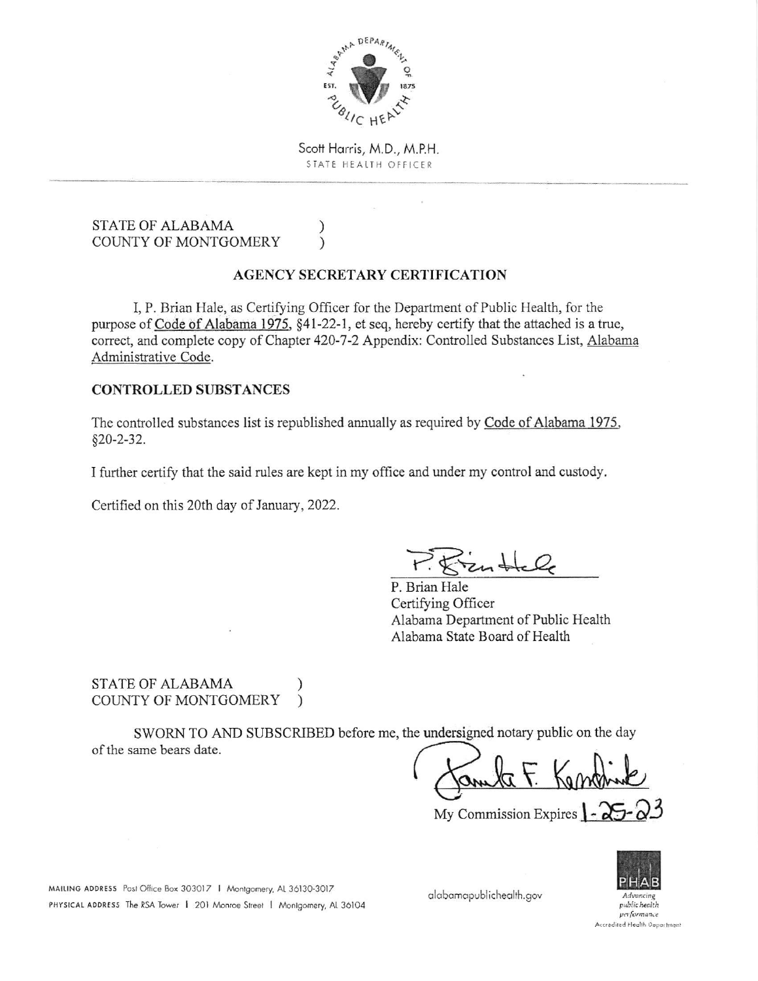

Scott Harris, M.D., M.P.H. STATE HEALTH OFFICER

### **STATE OF ALABAMA COUNTY OF MONTGOMERY**

## **AGENCY SECRETARY CERTIFICATION**

 $\mathcal{E}$ 

 $\lambda$ 

I. P. Brian Hale, as Certifying Officer for the Department of Public Health, for the purpose of Code of Alabama 1975, §41-22-1, et seq, hereby certify that the attached is a true, correct, and complete copy of Chapter 420-7-2 Appendix: Controlled Substances List, Alabama Administrative Code.

### **CONTROLLED SUBSTANCES**

The controlled substances list is republished annually as required by Code of Alabama 1975,  $§20 - 2 - 32.$ 

I further certify that the said rules are kept in my office and under my control and custody.

Certified on this 20th day of January, 2022.

 $P.$  Frankle

P. Brian Hale Certifying Officer Alabama Department of Public Health Alabama State Board of Health

### **STATE OF ALABAMA** COUNTY OF MONTGOMERY

SWORN TO AND SUBSCRIBED before me, the undersigned notary public on the day of the same bears date.

My Commission Expires  $\sim$ 



public health verformance Accredited Health Department

MAILING ADDRESS Post Office Box 303017 | Montgomery, AL 36130-3017 PHYSICAL ADDRESS The RSA Tower | 201 Monroe Street | Montgomery, AL 36104

alabamapublichealth.gov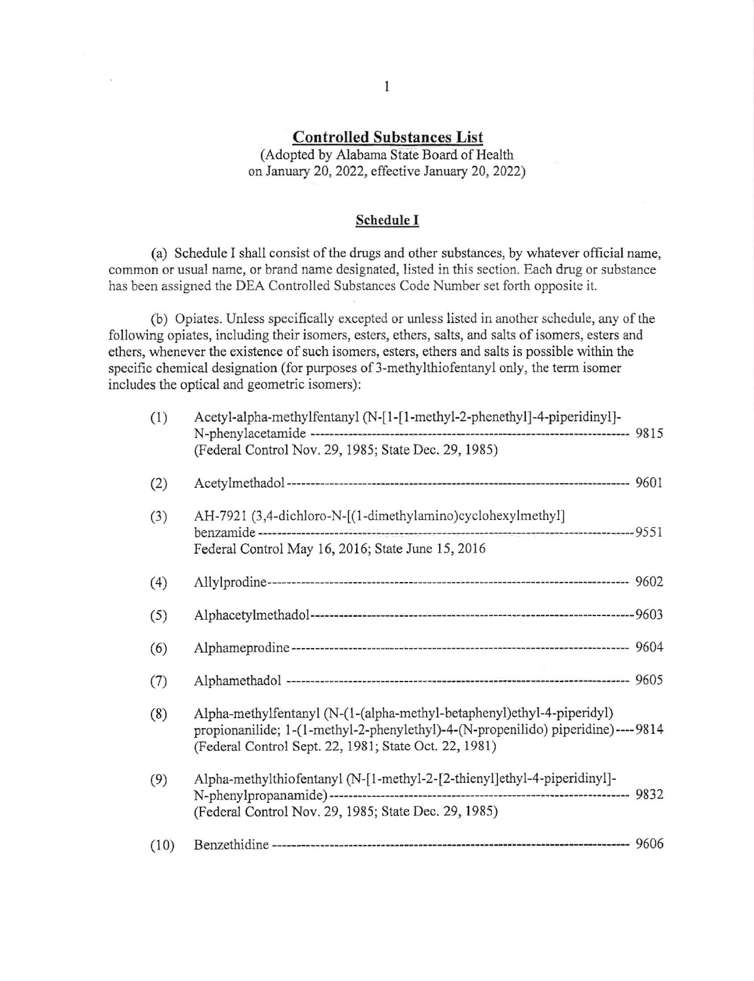# Controlled Substances List

(Adopted by Alabama State Board of Health on January 20, 2022, effeclive Jantary 20,2022)

#### Schedule I

(a) Schedule I shall consist of the drugs and other substances, by whatever official name, common or usual name, or brand name designated, listed in this section. Each drug or substance has been assigned the DEA Controlled Substances Code Number set forth opposite it.

(b) Opiates. Unless specifically excepted or unless listed in another schedule, any of the following opiates, including their isomers, esters, ethers, salts, and salts of isomers, esters and ethers, whenever the existence of such isomers, esters, ethers and salts is possible within the specific chemical designation (for purposes of 3-methylthiofentanyl only, the term isomer includes the optical and geometric isomers):

| (1)  | Acetyl-alpha-methylfentanyl (N-[1-[1-methyl-2-phenethyl]-4-piperidinyl]-<br>(Federal Control Nov. 29, 1985; State Dec. 29, 1985)                                                                                    |  |
|------|---------------------------------------------------------------------------------------------------------------------------------------------------------------------------------------------------------------------|--|
| (2)  |                                                                                                                                                                                                                     |  |
| (3)  | AH-7921 (3,4-dichloro-N-[(1-dimethylamino)cyclohexylmethyl]<br>Federal Control May 16, 2016; State June 15, 2016                                                                                                    |  |
| (4)  |                                                                                                                                                                                                                     |  |
| (5)  |                                                                                                                                                                                                                     |  |
| (6)  |                                                                                                                                                                                                                     |  |
| (7)  |                                                                                                                                                                                                                     |  |
| (8)  | Alpha-methylfentanyl (N-(1-(alpha-methyl-betaphenyl)ethyl-4-piperidyl)<br>propionanilide; 1-(1-methyl-2-phenylethyl)-4-(N-propenilido) piperidine)----9814<br>(Federal Control Sept. 22, 1981; State Oct. 22, 1981) |  |
| (9)  | Alpha-methylthiofentanyl (N-[1-methyl-2-[2-thienyl]ethyl-4-piperidinyl]-<br>(Federal Control Nov. 29, 1985; State Dec. 29, 1985)                                                                                    |  |
| (10) |                                                                                                                                                                                                                     |  |